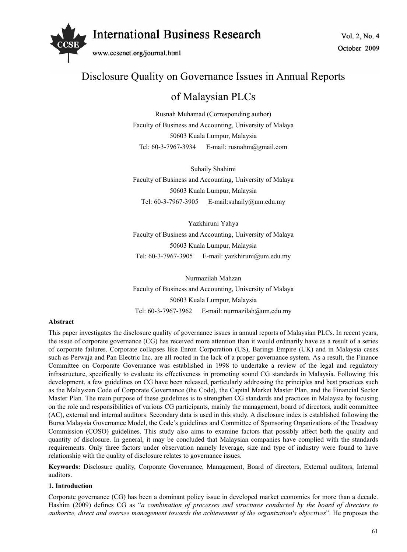# **International Business Research**  $\text{Vol. 2, No. 4}$ www.ccsenet.org/journal.html

# Disclosure Quality on Governance Issues in Annual Reports

# of Malaysian PLCs

Rusnah Muhamad (Corresponding author) Faculty of Business and Accounting, University of Malaya 50603 Kuala Lumpur, Malaysia Tel: 60-3-7967-3934 E-mail: rusnahm@gmail.com

Suhaily Shahimi Faculty of Business and Accounting, University of Malaya 50603 Kuala Lumpur, Malaysia Tel: 60-3-7967-3905 E-mail:suhaily@um.edu.my

Yazkhiruni Yahya Faculty of Business and Accounting, University of Malaya 50603 Kuala Lumpur, Malaysia Tel: 60-3-7967-3905 E-mail: yazkhiruni@um.edu.my

Nurmazilah Mahzan Faculty of Business and Accounting, University of Malaya 50603 Kuala Lumpur, Malaysia Tel: 60-3-7967-3962 E-mail: nurmazilah@um.edu.my

# **Abstract**

This paper investigates the disclosure quality of governance issues in annual reports of Malaysian PLCs. In recent years, the issue of corporate governance (CG) has received more attention than it would ordinarily have as a result of a series of corporate failures. Corporate collapses like Enron Corporation (US), Barings Empire (UK) and in Malaysia cases such as Perwaja and Pan Electric Inc. are all rooted in the lack of a proper governance system. As a result, the Finance Committee on Corporate Governance was established in 1998 to undertake a review of the legal and regulatory infrastructure, specifically to evaluate its effectiveness in promoting sound CG standards in Malaysia. Following this development, a few guidelines on CG have been released, particularly addressing the principles and best practices such as the Malaysian Code of Corporate Governance (the Code), the Capital Market Master Plan, and the Financial Sector Master Plan. The main purpose of these guidelines is to strengthen CG standards and practices in Malaysia by focusing on the role and responsibilities of various CG participants, mainly the management, board of directors, audit committee (AC), external and internal auditors. Secondary data is used in this study. A disclosure index is established following the Bursa Malaysia Governance Model, the Code's guidelines and Committee of Sponsoring Organizations of the Treadway Commission (COSO) guidelines. This study also aims to examine factors that possibly affect both the quality and quantity of disclosure. In general, it may be concluded that Malaysian companies have complied with the standards requirements. Only three factors under observation namely leverage, size and type of industry were found to have relationship with the quality of disclosure relates to governance issues.

**Keywords:** Disclosure quality, Corporate Governance, Management, Board of directors, External auditors, Internal auditors.

## **1. Introduction**

Corporate governance (CG) has been a dominant policy issue in developed market economies for more than a decade. Hashim (2009) defines CG as "*a combination of processes and structures conducted by the board of directors to authorize, direct and oversee management towards the achievement of the organization's objectives*". He proposes the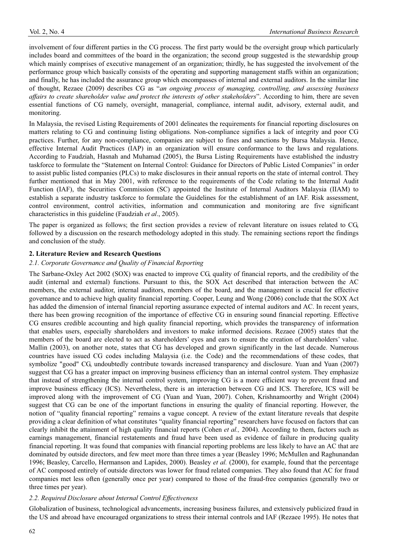involvement of four different parties in the CG process. The first party would be the oversight group which particularly includes board and committees of the board in the organization; the second group suggested is the stewardship group which mainly comprises of executive management of an organization; thirdly, he has suggested the involvement of the performance group which basically consists of the operating and supporting management staffs within an organization; and finally, he has included the assurance group which encompasses of internal and external auditors. In the similar line of thought, Rezaee (2009) describes CG as "*an ongoing process of managing, controlling, and assessing business affairs to create shareholder value and protect the interests of other stakeholders*". According to him, there are seven essential functions of CG namely, oversight, managerial, compliance, internal audit, advisory, external audit, and monitoring.

In Malaysia, the revised Listing Requirements of 2001 delineates the requirements for financial reporting disclosures on matters relating to CG and continuing listing obligations. Non-compliance signifies a lack of integrity and poor CG practices. Further, for any non-compliance, companies are subject to fines and sanctions by Bursa Malaysia. Hence, effective Internal Audit Practices (IAP) in an organization will ensure conformance to the laws and regulations. According to Faudziah, Hasnah and Muhamad (2005), the Bursa Listing Requirements have established the industry taskforce to formulate the "Statement on Internal Control: Guidance for Directors of Public Listed Companies" in order to assist public listed companies (PLCs) to make disclosures in their annual reports on the state of internal control. They further mentioned that in May 2001, with reference to the requirements of the Code relating to the Internal Audit Function (IAF), the Securities Commission (SC) appointed the Institute of Internal Auditors Malaysia (IIAM) to establish a separate industry taskforce to formulate the Guidelines for the establishment of an IAF. Risk assessment, control environment, control activities, information and communication and monitoring are five significant characteristics in this guideline (Faudziah *et al*., 2005).

The paper is organized as follows; the first section provides a review of relevant literature on issues related to CG, followed by a discussion on the research methodology adopted in this study. The remaining sections report the findings and conclusion of the study.

# **2. Literature Review and Research Questions**

## *2.1. Corporate Governance and Quality of Financial Reporting*

The Sarbane-Oxley Act 2002 (SOX) was enacted to improve CG, quality of financial reports, and the credibility of the audit (internal and external) functions. Pursuant to this, the SOX Act described that interaction between the AC members, the external auditor, internal auditors, members of the board, and the management is crucial for effective governance and to achieve high quality financial reporting. Cooper, Leung and Wong (2006) conclude that the SOX Act has added the dimension of internal financial reporting assurance expected of internal auditors and AC. In recent years, there has been growing recognition of the importance of effective CG in ensuring sound financial reporting. Effective CG ensures credible accounting and high quality financial reporting, which provides the transparency of information that enables users, especially shareholders and investors to make informed decisions. Rezaee (2005) states that the members of the board are elected to act as shareholders' eyes and ears to ensure the creation of shareholders' value. Mallin (2003), on another note, states that CG has developed and grown significantly in the last decade. Numerous countries have issued CG codes including Malaysia (i.e. the Code) and the recommendations of these codes, that symbolize "good" CG, undoubtedly contribute towards increased transparency and disclosure. Yuan and Yuan (2007) suggest that CG has a greater impact on improving business efficiency than an internal control system. They emphasize that instead of strengthening the internal control system, improving CG is a more efficient way to prevent fraud and improve business efficacy (ICS). Nevertheless, there is an interaction between CG and ICS. Therefore, ICS will be improved along with the improvement of CG (Yuan and Yuan, 2007). Cohen, Krishnamoorthy and Wright (2004) suggest that CG can be one of the important functions in ensuring the quality of financial reporting. However, the notion of "quality financial reporting" remains a vague concept. A review of the extant literature reveals that despite providing a clear definition of what constitutes "quality financial reporting" researchers have focused on factors that can clearly inhibit the attainment of high quality financial reports (Cohen *et al.,* 2004). According to them, factors such as earnings management, financial restatements and fraud have been used as evidence of failure in producing quality financial reporting. It was found that companies with financial reporting problems are less likely to have an AC that are dominated by outside directors, and few meet more than three times a year (Beasley 1996; McMullen and Raghunandan 1996; Beasley, Carcello, Hermanson and Lapides, 2000). Beasley *et al.* (2000), for example, found that the percentage of AC composed entirely of outside directors was lower for fraud related companies. They also found that AC for fraud companies met less often (generally once per year) compared to those of the fraud-free companies (generally two or three times per year).

## *2.2. Required Disclosure about Internal Control Effectiveness*

Globalization of business, technological advancements, increasing business failures, and extensively publicized fraud in the US and abroad have encouraged organizations to stress their internal controls and IAF (Rezaee 1995). He notes that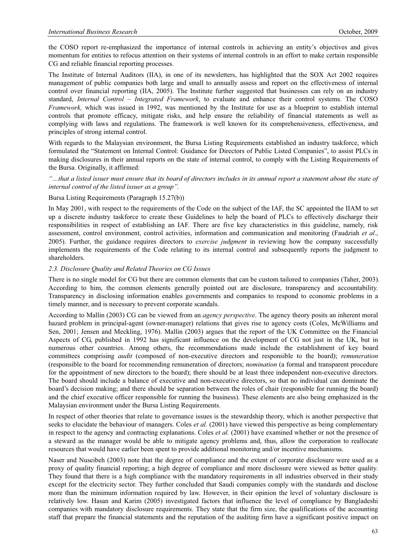the COSO report re-emphasized the importance of internal controls in achieving an entity's objectives and gives momentum for entities to refocus attention on their systems of internal controls in an effort to make certain responsible CG and reliable financial reporting processes.

The Institute of Internal Auditors (IIA), in one of its newsletters, has highlighted that the SOX Act 2002 requires management of public companies both large and small to annually assess and report on the effectiveness of internal control over financial reporting (IIA, 2005). The Institute further suggested that businesses can rely on an industry standard, *Internal Control – Integrated Framework*, to evaluate and enhance their control systems. The COSO *Framework*, which was issued in 1992, was mentioned by the Institute for use as a blueprint to establish internal controls that promote efficacy, mitigate risks, and help ensure the reliability of financial statements as well as complying with laws and regulations. The framework is well known for its comprehensiveness, effectiveness, and principles of strong internal control.

With regards to the Malaysian environment, the Bursa Listing Requirements established an industry taskforce, which formulated the "Statement on Internal Control: Guidance for Directors of Public Listed Companies", to assist PLCs in making disclosures in their annual reports on the state of internal control, to comply with the Listing Requirements of the Bursa. Originally, it affirmed:

*"…that a listed issuer must ensure that its board of directors includes in its annual report a statement about the state of internal control of the listed issuer as a group".* 

# Bursa Listing Requirements (Paragraph 15.27(b))

In May 2001, with respect to the requirements of the Code on the subject of the IAF, the SC appointed the IIAM to set up a discrete industry taskforce to create these Guidelines to help the board of PLCs to effectively discharge their responsibilities in respect of establishing an IAF. There are five key characteristics in this guideline, namely, risk assessment, control environment, control activities, information and communication and monitoring (Faudziah *et al*., 2005). Further, the guidance requires directors to *exercise judgment* in reviewing how the company successfully implements the requirements of the Code relating to its internal control and subsequently reports the judgment to shareholders.

#### *2.3. Disclosure Quality and Related Theories on CG Issues*

There is no single model for CG but there are common elements that can be custom tailored to companies (Taher, 2003). According to him, the common elements generally pointed out are disclosure, transparency and accountability. Transparency in disclosing information enables governments and companies to respond to economic problems in a timely manner, and is necessary to prevent corporate scandals.

According to Mallin (2003) CG can be viewed from an *agency perspective*. The agency theory posits an inherent moral hazard problem in principal-agent (owner-manager) relations that gives rise to agency costs (Coles, McWilliams and Sen, 2001; Jensen and Meckling, 1976). Mallin (2003) argues that the report of the UK Committee on the Financial Aspects of CG, published in 1992 has significant influence on the development of CG not just in the UK, but in numerous other countries. Among others, the recommendations made include the establishment of key board committees comprising *audit* (composed of non-executive directors and responsible to the board); *remuneration*  (responsible to the board for recommending remuneration of directors; *nomination* (a formal and transparent procedure for the appointment of new directors to the board); there should be at least three independent non-executive directors. The board should include a balance of executive and non-executive directors, so that no individual can dominate the board's decision making; and there should be separation between the roles of chair (responsible for running the board) and the chief executive officer responsible for running the business). These elements are also being emphasized in the Malaysian environment under the Bursa Listing Requirements.

In respect of other theories that relate to governance issues is the stewardship theory, which is another perspective that seeks to elucidate the behaviour of managers. Coles *et al.* (2001) have viewed this perspective as being complementary in respect to the agency and contracting explanations. Coles *et al.* (2001) have examined whether or not the presence of a steward as the manager would be able to mitigate agency problems and, thus, allow the corporation to reallocate resources that would have earlier been spent to provide additional monitoring and/or incentive mechanisms.

Naser and Nuseibeh (2003) note that the degree of compliance and the extent of corporate disclosure were used as a proxy of quality financial reporting; a high degree of compliance and more disclosure were viewed as better quality. They found that there is a high compliance with the mandatory requirements in all industries observed in their study except for the electricity sector. They further concluded that Saudi companies comply with the standards and disclose more than the minimum information required by law. However, in their opinion the level of voluntary disclosure is relatively low. Hasan and Karim (2005) investigated factors that influence the level of compliance by Bangladeshi companies with mandatory disclosure requirements. They state that the firm size, the qualifications of the accounting staff that prepare the financial statements and the reputation of the auditing firm have a significant positive impact on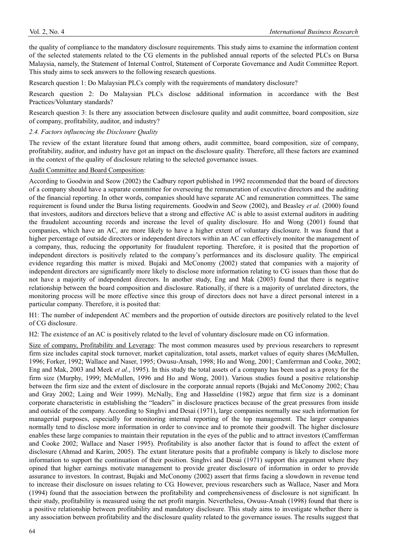the quality of compliance to the mandatory disclosure requirements. This study aims to examine the information content of the selected statements related to the CG elements in the published annual reports of the selected PLCs on Bursa Malaysia, namely, the Statement of Internal Control, Statement of Corporate Governance and Audit Committee Report. This study aims to seek answers to the following research questions.

Research question 1: Do Malaysian PLCs comply with the requirements of mandatory disclosure?

Research question 2: Do Malaysian PLCs disclose additional information in accordance with the Best Practices/Voluntary standards?

Research question 3: Is there any association between disclosure quality and audit committee, board composition, size of company, profitability, auditor, and industry?

# *2.4. Factors influencing the Disclosure Quality*

The review of the extant literature found that among others, audit committee, board composition, size of company, profitability, auditor, and industry have got an impact on the disclosure quality. Therefore, all these factors are examined in the context of the quality of disclosure relating to the selected governance issues.

# Audit Committee and Board Composition:

According to Goodwin and Seow (2002) the Cadbury report published in 1992 recommended that the board of directors of a company should have a separate committee for overseeing the remuneration of executive directors and the auditing of the financial reporting. In other words, companies should have separate AC and remuneration committees. The same requirement is found under the Bursa listing requirements. Goodwin and Seow (2002), and Beasley *et al.* (2000) found that investors, auditors and directors believe that a strong and effective AC is able to assist external auditors in auditing the fraudulent accounting records and increase the level of quality disclosure. Ho and Wong (2001) found that companies, which have an AC, are more likely to have a higher extent of voluntary disclosure. It was found that a higher percentage of outside directors or independent directors within an AC can effectively monitor the management of a company, thus, reducing the opportunity for fraudulent reporting. Therefore, it is posited that the proportion of independent directors is positively related to the company's performances and its disclosure quality. The empirical evidence regarding this matter is mixed. Bujaki and McConomy (2002) stated that companies with a majority of independent directors are significantly more likely to disclose more information relating to CG issues than those that do not have a majority of independent directors. In another study, Eng and Mak (2003) found that there is negative relationship between the board composition and disclosure. Rationally, if there is a majority of unrelated directors, the monitoring process will be more effective since this group of directors does not have a direct personal interest in a particular company. Therefore, it is posited that:

H1: The number of independent AC members and the proportion of outside directors are positively related to the level of CG disclosure.

H2: The existence of an AC is positively related to the level of voluntary disclosure made on CG information.

Size of company, Profitability and Leverage: The most common measures used by previous researchers to represent firm size includes capital stock turnover, market capitalization, total assets, market values of equity shares (McMullen, 1996; Forker, 1992; Wallace and Naser, 1995; Owusu-Ansah, 1998; Ho and Wong, 2001; Camferrman and Cooke, 2002; Eng and Mak, 2003 and Meek *et al*., 1995). In this study the total assets of a company has been used as a proxy for the firm size (Murphy, 1999; McMullen, 1996 and Ho and Wong, 2001). Various studies found a positive relationship between the firm size and the extent of disclosure in the corporate annual reports (Bujaki and McConomy 2002; Chau and Gray 2002; Laing and Weir 1999). McNally, Eng and Hasseldine (1982) argue that firm size is a dominant corporate characteristic in establishing the "leaders" in disclosure practices because of the great pressures from inside and outside of the company. According to Singhvi and Desai (1971), large companies normally use such information for managerial purposes, especially for monitoring internal reporting of the top management. The larger companies normally tend to disclose more information in order to convince and to promote their goodwill. The higher disclosure enables these large companies to maintain their reputation in the eyes of the public and to attract investors (Camfferman and Cooke 2002; Wallace and Naser 1995). Profitability is also another factor that is found to affect the extent of disclosure (Ahmad and Karim, 2005). The extant literature posits that a profitable company is likely to disclose more information to support the continuation of their position. Singhvi and Desai (1971) support this argument where they opined that higher earnings motivate management to provide greater disclosure of information in order to provide assurance to investors. In contrast, Bujaki and McConomy (2002) assert that firms facing a slowdown in revenue tend to increase their disclosure on issues relating to CG. However, previous researchers such as Wallace, Naser and Mora (1994) found that the association between the profitability and comprehensiveness of disclosure is not significant. In their study, profitability is measured using the net profit margin. Nevertheless, Owusu-Ansah (1998) found that there is a positive relationship between profitability and mandatory disclosure. This study aims to investigate whether there is any association between profitability and the disclosure quality related to the governance issues. The results suggest that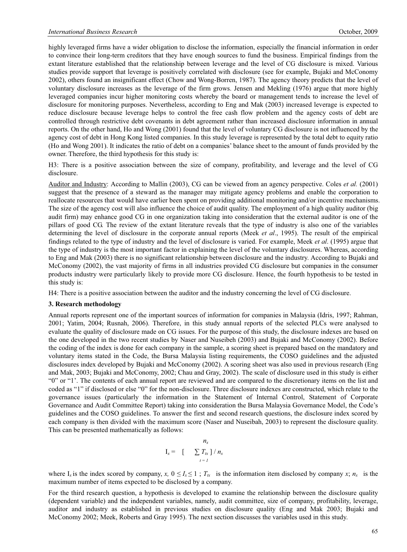highly leveraged firms have a wider obligation to disclose the information, especially the financial information in order to convince their long-term creditors that they have enough sources to fund the business. Empirical findings from the extant literature established that the relationship between leverage and the level of CG disclosure is mixed. Various studies provide support that leverage is positively correlated with disclosure (see for example, Bujaki and McConomy 2002), others found an insignificant effect (Chow and Wong-Borren, 1987). The agency theory predicts that the level of voluntary disclosure increases as the leverage of the firm grows. Jensen and Mekling (1976) argue that more highly leveraged companies incur higher monitoring costs whereby the board or management tends to increase the level of disclosure for monitoring purposes. Nevertheless, according to Eng and Mak (2003) increased leverage is expected to reduce disclosure because leverage helps to control the free cash flow problem and the agency costs of debt are controlled through restrictive debt covenants in debt agreement rather than increased disclosure information in annual reports. On the other hand, Ho and Wong (2001) found that the level of voluntary CG disclosure is not influenced by the agency cost of debt in Hong Kong listed companies. In this study leverage is represented by the total debt to equity ratio (Ho and Wong 2001). It indicates the ratio of debt on a companies' balance sheet to the amount of funds provided by the owner. Therefore, the third hypothesis for this study is:

H3: There is a positive association between the size of company, profitability, and leverage and the level of CG disclosure.

Auditor and Industry: According to Mallin (2003), CG can be viewed from an agency perspective. Coles *et al.* (2001) suggest that the presence of a steward as the manager may mitigate agency problems and enable the corporation to reallocate resources that would have earlier been spent on providing additional monitoring and/or incentive mechanisms. The size of the agency cost will also influence the choice of audit quality. The employment of a high quality auditor (big audit firm) may enhance good CG in one organization taking into consideration that the external auditor is one of the pillars of good CG. The review of the extant literature reveals that the type of industry is also one of the variables determining the level of disclosure in the corporate annual reports (Meek *et al*., 1995). The result of the empirical findings related to the type of industry and the level of disclosure is varied. For example, Meek *et al*. (1995) argue that the type of industry is the most important factor in explaining the level of the voluntary disclosures. Whereas, according to Eng and Mak (2003) there is no significant relationship between disclosure and the industry. According to Bujaki and McConomy (2002), the vast majority of firms in all industries provided CG disclosure but companies in the consumer products industry were particularly likely to provide more CG disclosure. Hence, the fourth hypothesis to be tested in this study is:

H4: There is a positive association between the auditor and the industry concerning the level of CG disclosure.

## **3. Research methodology**

Annual reports represent one of the important sources of information for companies in Malaysia (Idris, 1997; Rahman, 2001; Yatim, 2004; Rusnah, 2006). Therefore, in this study annual reports of the selected PLCs were analysed to evaluate the quality of disclosure made on CG issues. For the purpose of this study, the disclosure indexes are based on the one developed in the two recent studies by Naser and Nuseibeh (2003) and Bujaki and McConomy (2002). Before the coding of the index is done for each company in the sample, a scoring sheet is prepared based on the mandatory and voluntary items stated in the Code, the Bursa Malaysia listing requirements, the COSO guidelines and the adjusted disclosures index developed by Bujaki and McConomy (2002). A scoring sheet was also used in previous research (Eng and Mak, 2003; Bujaki and McConomy, 2002; Chau and Gray, 2002). The scale of disclosure used in this study is either "0" or "1'. The contents of each annual report are reviewed and are compared to the discretionary items on the list and coded as "1" if disclosed or else "0" for the non-disclosure. Three disclosure indexes are constructed, which relate to the governance issues (particularly the information in the Statement of Internal Control, Statement of Corporate Governance and Audit Committee Report) taking into consideration the Bursa Malaysia Governance Model, the Code's guidelines and the COSO guidelines. To answer the first and second research questions, the disclosure index scored by each company is then divided with the maximum score (Naser and Nuseibah, 2003) to represent the disclosure quality. This can be presented mathematically as follows:

$$
\mathbf{I}_x = \begin{bmatrix} n_x \\ \sum T_{tx} \end{bmatrix} / n_x
$$

where  $I_x$  is the index scored by company, *x*,  $0 \le I_x \le 1$ ;  $T_{tx}$  is the information item disclosed by company *x*;  $n_x$  is the maximum number of items expected to be disclosed by a company.

For the third research question, a hypothesis is developed to examine the relationship between the disclosure quality (dependent variable) and the independent variables, namely, audit committee, size of company, profitability, leverage, auditor and industry as established in previous studies on disclosure quality (Eng and Mak 2003; Bujaki and McConomy 2002; Meek, Roberts and Gray 1995). The next section discusses the variables used in this study.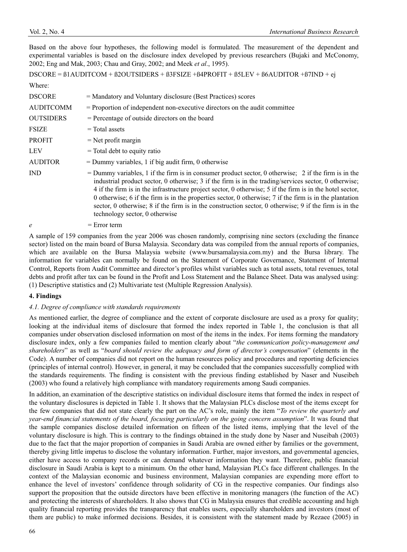Based on the above four hypotheses, the following model is formulated. The measurement of the dependent and experimental variables is based on the disclosure index developed by previous researchers (Bujaki and McConomy, 2002; Eng and Mak, 2003; Chau and Gray, 2002; and Meek *et al*., 1995).

DSCORE = ß1AUDITCOM + ß2OUTSIDERS + ß3FSIZE +ß4PROFIT + ß5LEV + ß6AUDITOR +ß7IND + ej Where:

| <b>DSCORE</b>    | = Mandatory and Voluntary disclosure (Best Practices) scores                                                                                                                                                                                                                                                                                                                                                                                                                                                                                                                      |
|------------------|-----------------------------------------------------------------------------------------------------------------------------------------------------------------------------------------------------------------------------------------------------------------------------------------------------------------------------------------------------------------------------------------------------------------------------------------------------------------------------------------------------------------------------------------------------------------------------------|
| <b>AUDITCOMM</b> | $=$ Proportion of independent non-executive directors on the audit committee                                                                                                                                                                                                                                                                                                                                                                                                                                                                                                      |
| <b>OUTSIDERS</b> | $=$ Percentage of outside directors on the board                                                                                                                                                                                                                                                                                                                                                                                                                                                                                                                                  |
| <b>FSIZE</b>     | $=$ Total assets                                                                                                                                                                                                                                                                                                                                                                                                                                                                                                                                                                  |
| <b>PROFIT</b>    | $=$ Net profit margin                                                                                                                                                                                                                                                                                                                                                                                                                                                                                                                                                             |
| <b>LEV</b>       | $=$ Total debt to equity ratio                                                                                                                                                                                                                                                                                                                                                                                                                                                                                                                                                    |
| <b>AUDITOR</b>   | $=$ Dummy variables, 1 if big audit firm, 0 otherwise                                                                                                                                                                                                                                                                                                                                                                                                                                                                                                                             |
| <b>IND</b>       | = Dummy variables, 1 if the firm is in consumer product sector, 0 otherwise; 2 if the firm is in the<br>industrial product sector, 0 otherwise; 3 if the firm is in the trading/services sector, 0 otherwise;<br>4 if the firm is in the infrastructure project sector, 0 otherwise; 5 if the firm is in the hotel sector,<br>0 otherwise; 6 if the firm is in the properties sector, 0 otherwise; 7 if the firm is in the plantation<br>sector, 0 otherwise; 8 if the firm is in the construction sector, 0 otherwise; 9 if the firm is in the<br>technology sector, 0 otherwise |

 $e =$  Error term

A sample of 159 companies from the year 2006 was chosen randomly, comprising nine sectors (excluding the finance sector) listed on the main board of Bursa Malaysia. Secondary data was compiled from the annual reports of companies, which are available on the Bursa Malaysia website (www.bursamalaysia.com.my) and the Bursa library. The information for variables can normally be found on the Statement of Corporate Governance, Statement of Internal Control, Reports from Audit Committee and director's profiles whilst variables such as total assets, total revenues, total debts and profit after tax can be found in the Profit and Loss Statement and the Balance Sheet. Data was analysed using: (1) Descriptive statistics and (2) Multivariate test (Multiple Regression Analysis).

## **4. Findings**

## *4.1. Degree of compliance with standards requirements*

As mentioned earlier, the degree of compliance and the extent of corporate disclosure are used as a proxy for quality; looking at the individual items of disclosure that formed the index reported in Table 1, the conclusion is that all companies under observation disclosed information on most of the items in the index. For items forming the mandatory disclosure index, only a few companies failed to mention clearly about "*the communication policy-management and shareholders*" as well as "*board should review the adequacy and form of director's compensation*" (elements in the Code). A number of companies did not report on the human resources policy and procedures and reporting deficiencies (principles of internal control). However, in general, it may be concluded that the companies successfully complied with the standards requirements. The finding is consistent with the previous finding established by Naser and Nuseibeh (2003) who found a relatively high compliance with mandatory requirements among Saudi companies.

In addition, an examination of the descriptive statistics on individual disclosure items that formed the index in respect of the voluntary disclosures is depicted in Table 1. It shows that the Malaysian PLCs disclose most of the items except for the few companies that did not state clearly the part on the AC's role, mainly the item "*To review the quarterly and year-end financial statements of the board, focusing particularly on the going concern assumption*". It was found that the sample companies disclose detailed information on fifteen of the listed items, implying that the level of the voluntary disclosure is high. This is contrary to the findings obtained in the study done by Naser and Nuseibah (2003) due to the fact that the major proportion of companies in Saudi Arabia are owned either by families or the government, thereby giving little impetus to disclose the voluntary information. Further, major investors, and governmental agencies, either have access to company records or can demand whatever information they want. Therefore, public financial disclosure in Saudi Arabia is kept to a minimum. On the other hand, Malaysian PLCs face different challenges. In the context of the Malaysian economic and business environment, Malaysian companies are expending more effort to enhance the level of investors' confidence through solidarity of CG in the respective companies. Our findings also support the proposition that the outside directors have been effective in monitoring managers (the function of the AC) and protecting the interests of shareholders. It also shows that CG in Malaysia ensures that credible accounting and high quality financial reporting provides the transparency that enables users, especially shareholders and investors (most of them are public) to make informed decisions. Besides, it is consistent with the statement made by Rezaee (2005) in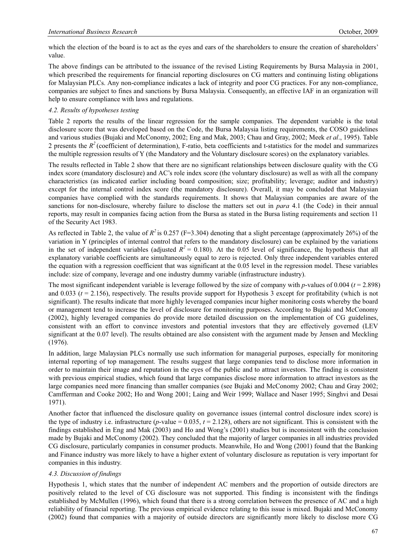which the election of the board is to act as the eyes and ears of the shareholders to ensure the creation of shareholders' value.

The above findings can be attributed to the issuance of the revised Listing Requirements by Bursa Malaysia in 2001, which prescribed the requirements for financial reporting disclosures on CG matters and continuing listing obligations for Malaysian PLCs. Any non-compliance indicates a lack of integrity and poor CG practices. For any non-compliance, companies are subject to fines and sanctions by Bursa Malaysia. Consequently, an effective IAF in an organization will help to ensure compliance with laws and regulations.

# *4.2. Results of hypotheses testing*

Table 2 reports the results of the linear regression for the sample companies. The dependent variable is the total disclosure score that was developed based on the Code, the Bursa Malaysia listing requirements, the COSO guidelines and various studies (Bujaki and McConomy, 2002; Eng and Mak, 2003; Chau and Gray, 2002; Meek *et al*., 1995). Table 2 presents the  $R^2$  (coefficient of determination), F-ratio, beta coefficients and t-statistics for the model and summarizes the multiple regression results of Y (the Mandatory and the Voluntary disclosure scores) on the explanatory variables.

The results reflected in Table 2 show that there are no significant relationships between disclosure quality with the CG index score (mandatory disclosure) and AC's role index score (the voluntary disclosure) as well as with all the company characteristics (as indicated earlier including board composition; size; profitability; leverage; auditor and industry) except for the internal control index score (the mandatory disclosure). Overall, it may be concluded that Malaysian companies have complied with the standards requirements. It shows that Malaysian companies are aware of the sanctions for non-disclosure, whereby failure to disclose the matters set out in *para* 4.1 (the Code) in their annual reports, may result in companies facing action from the Bursa as stated in the Bursa listing requirements and section 11 of the Security Act 1983.

As reflected in Table 2, the value of  $R^2$  is 0.257 (F=3.304) denoting that a slight percentage (approximately 26%) of the variation in Y (principles of internal control that refers to the mandatory disclosure) can be explained by the variations in the set of independent variables (adjusted  $R^2 = 0.180$ ). At the 0.05 level of significance, the hypothesis that all explanatory variable coefficients are simultaneously equal to zero is rejected. Only three independent variables entered the equation with a regression coefficient that was significant at the 0.05 level in the regression model. These variables include: size of company, leverage and one industry dummy variable (infrastructure industry).

The most significant independent variable is leverage followed by the size of company with *p*-values of 0.004 (*t* = 2.898) and 0.033 (*t* = 2.156), respectively. The results provide support for Hypothesis 3 except for profitability (which is not significant). The results indicate that more highly leveraged companies incur higher monitoring costs whereby the board or management tend to increase the level of disclosure for monitoring purposes. According to Bujaki and McConomy (2002), highly leveraged companies do provide more detailed discussion on the implementation of CG guidelines, consistent with an effort to convince investors and potential investors that they are effectively governed (LEV significant at the 0.07 level). The results obtained are also consistent with the argument made by Jensen and Meckling (1976).

In addition, large Malaysian PLCs normally use such information for managerial purposes, especially for monitoring internal reporting of top management. The results suggest that large companies tend to disclose more information in order to maintain their image and reputation in the eyes of the public and to attract investors. The finding is consistent with previous empirical studies, which found that large companies disclose more information to attract investors as the large companies need more financing than smaller companies (see Bujaki and McConomy 2002; Chau and Gray 2002; Camfferman and Cooke 2002; Ho and Wong 2001; Laing and Weir 1999; Wallace and Naser 1995; Singhvi and Desai 1971).

Another factor that influenced the disclosure quality on governance issues (internal control disclosure index score) is the type of industry i.e. infrastructure ( $p$ -value =  $0.035$ ,  $t = 2.128$ ), others are not significant. This is consistent with the findings established in Eng and Mak (2003) and Ho and Wong's (2001) studies but is inconsistent with the conclusion made by Bujaki and McConomy (2002). They concluded that the majority of larger companies in all industries provided CG disclosure, particularly companies in consumer products. Meanwhile, Ho and Wong (2001) found that the Banking and Finance industry was more likely to have a higher extent of voluntary disclosure as reputation is very important for companies in this industry.

# *4.3. Discussion of findings*

Hypothesis 1, which states that the number of independent AC members and the proportion of outside directors are positively related to the level of CG disclosure was not supported. This finding is inconsistent with the findings established by McMullen (1996), which found that there is a strong correlation between the presence of AC and a high reliability of financial reporting. The previous empirical evidence relating to this issue is mixed. Bujaki and McConomy (2002) found that companies with a majority of outside directors are significantly more likely to disclose more CG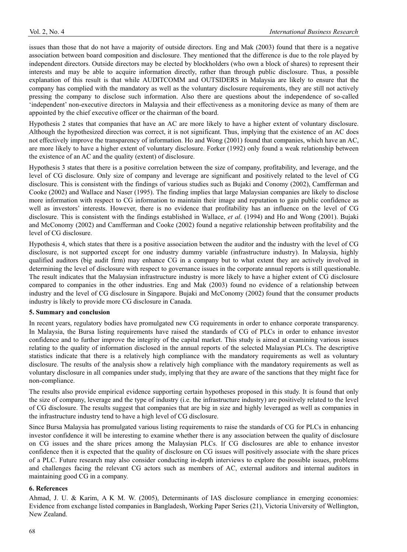issues than those that do not have a majority of outside directors. Eng and Mak (2003) found that there is a negative association between board composition and disclosure. They mentioned that the difference is due to the role played by independent directors. Outside directors may be elected by blockholders (who own a block of shares) to represent their interests and may be able to acquire information directly, rather than through public disclosure. Thus, a possible explanation of this result is that while AUDITCOMM and OUTSIDERS in Malaysia are likely to ensure that the company has complied with the mandatory as well as the voluntary disclosure requirements, they are still not actively pressing the company to disclose such information. Also there are questions about the independence of so-called 'independent' non-executive directors in Malaysia and their effectiveness as a monitoring device as many of them are appointed by the chief executive officer or the chairman of the board.

Hypothesis 2 states that companies that have an AC are more likely to have a higher extent of voluntary disclosure. Although the hypothesized direction was correct, it is not significant. Thus, implying that the existence of an AC does not effectively improve the transparency of information. Ho and Wong (2001) found that companies, which have an AC, are more likely to have a higher extent of voluntary disclosure. Forker (1992) only found a weak relationship between the existence of an AC and the quality (extent) of disclosure.

Hypothesis 3 states that there is a positive correlation between the size of company, profitability, and leverage, and the level of CG disclosure. Only size of company and leverage are significant and positively related to the level of CG disclosure. This is consistent with the findings of various studies such as Bujaki and Conomy (2002), Camfferman and Cooke (2002) and Wallace and Naser (1995). The finding implies that large Malaysian companies are likely to disclose more information with respect to CG information to maintain their image and reputation to gain public confidence as well as investors' interests. However, there is no evidence that profitability has an influence on the level of CG disclosure. This is consistent with the findings established in Wallace, *et al*. (1994) and Ho and Wong (2001). Bujaki and McConomy (2002) and Camfferman and Cooke (2002) found a negative relationship between profitability and the level of CG disclosure.

Hypothesis 4, which states that there is a positive association between the auditor and the industry with the level of CG disclosure, is not supported except for one industry dummy variable (infrastructure industry). In Malaysia, highly qualified auditors (big audit firm) may enhance CG in a company but to what extent they are actively involved in determining the level of disclosure with respect to governance issues in the corporate annual reports is still questionable. The result indicates that the Malaysian infrastructure industry is more likely to have a higher extent of CG disclosure compared to companies in the other industries. Eng and Mak (2003) found no evidence of a relationship between industry and the level of CG disclosure in Singapore. Bujaki and McConomy (2002) found that the consumer products industry is likely to provide more CG disclosure in Canada.

## **5. Summary and conclusion**

In recent years, regulatory bodies have promulgated new CG requirements in order to enhance corporate transparency. In Malaysia, the Bursa listing requirements have raised the standards of CG of PLCs in order to enhance investor confidence and to further improve the integrity of the capital market. This study is aimed at examining various issues relating to the quality of information disclosed in the annual reports of the selected Malaysian PLCs. The descriptive statistics indicate that there is a relatively high compliance with the mandatory requirements as well as voluntary disclosure. The results of the analysis show a relatively high compliance with the mandatory requirements as well as voluntary disclosure in all companies under study, implying that they are aware of the sanctions that they might face for non-compliance.

The results also provide empirical evidence supporting certain hypotheses proposed in this study. It is found that only the size of company, leverage and the type of industry (i.e. the infrastructure industry) are positively related to the level of CG disclosure. The results suggest that companies that are big in size and highly leveraged as well as companies in the infrastructure industry tend to have a high level of CG disclosure.

Since Bursa Malaysia has promulgated various listing requirements to raise the standards of CG for PLCs in enhancing investor confidence it will be interesting to examine whether there is any association between the quality of disclosure on CG issues and the share prices among the Malaysian PLCs. If CG disclosures are able to enhance investor confidence then it is expected that the quality of disclosure on CG issues will positively associate with the share prices of a PLC. Future research may also consider conducting in-depth interviews to explore the possible issues, problems and challenges facing the relevant CG actors such as members of AC, external auditors and internal auditors in maintaining good CG in a company.

## **6. References**

Ahmad, J. U. & Karim, A K M. W. (2005), Determinants of IAS disclosure compliance in emerging economies: Evidence from exchange listed companies in Bangladesh, Working Paper Series (21), Victoria University of Wellington, New Zealand.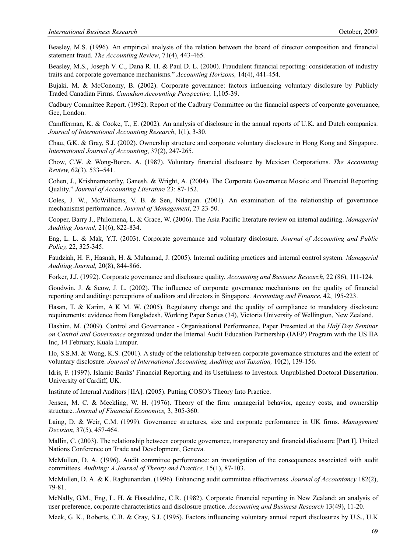Beasley, M.S. (1996). An empirical analysis of the relation between the board of director composition and financial statement fraud. *The Accounting Review*, 71(4), 443-465.

Beasley, M.S., Joseph V. C., Dana R. H. & Paul D. L. (2000). Fraudulent financial reporting: consideration of industry traits and corporate governance mechanisms." *Accounting Horizons,* 14(4), 441-454.

Bujaki. M. & McConomy, B. (2002). Corporate governance: factors influencing voluntary disclosure by Publicly Traded Canadian Firms. *Canadian Accounting Perspective,* 1,105-39.

Cadbury Committee Report. (1992). Report of the Cadbury Committee on the financial aspects of corporate governance, Gee, London.

Camfferman, K. & Cooke, T., E. (2002). An analysis of disclosure in the annual reports of U.K. and Dutch companies. *Journal of International Accounting Research*, 1(1), 3-30.

Chau, G.K. & Gray, S.J. (2002). Ownership structure and corporate voluntary disclosure in Hong Kong and Singapore. *International Journal of Accounting*, 37(2), 247-265.

Chow, C.W. & Wong-Boren, A. (1987). Voluntary financial disclosure by Mexican Corporations. *The Accounting Review,* 62(3), 533–541.

Cohen, J., Krishnamoorthy, Ganesh. & Wright, A. (2004). The Corporate Governance Mosaic and Financial Reporting Quality." *Journal of Accounting Literature* 23: 87-152.

Coles, J. W., McWilliams, V. B. & Sen, Nilanjan. (2001). An examination of the relationship of governance mechanismst performance. *Journal of Management*, 27 23-50.

Cooper, Barry J., Philomena, L. & Grace, W. (2006). The Asia Pacific literature review on internal auditing. *Managerial Auditing Journal,* 21(6), 822-834.

Eng, L. L. & Mak, Y.T. (2003). Corporate governance and voluntary disclosure. *Journal of Accounting and Public Policy,* 22, 325-345.

Faudziah, H. F., Hasnah, H. & Muhamad, J. (2005). Internal auditing practices and internal control system. *Managerial Auditing Journal,* 20(8), 844-866.

Forker, J.J. (1992). Corporate governance and disclosure quality. *Accounting and Business Research,* 22 (86), 111-124.

Goodwin, J. & Seow, J. L. (2002). The influence of corporate governance mechanisms on the quality of financial reporting and auditing: perceptions of auditors and directors in Singapore. *Accounting and Finance*, 42, 195-223.

Hasan, T. & Karim, A K M. W. (2005). Regulatory change and the quality of compliance to mandatory disclosure requirements: evidence from Bangladesh, Working Paper Series (34), Victoria University of Wellington, New Zealand.

Hashim, M. (2009). Control and Governance - Organisational Performance, Paper Presented at the *Half Day Seminar on Control and Governance* organized under the Internal Audit Education Partnership (IAEP) Program with the US IIA Inc, 14 February, Kuala Lumpur.

Ho, S.S.M. & Wong, K.S. (2001). A study of the relationship between corporate governance structures and the extent of voluntary disclosure. *Journal of International Accounting, Auditing and Taxation,* 10(2), 139-156.

Idris, F. (1997). Islamic Banks' Financial Reporting and its Usefulness to Investors. Unpublished Doctoral Dissertation. University of Cardiff, UK.

Institute of Internal Auditors [IIA]. (2005). Putting COSO's Theory Into Practice.

Jensen, M. C. & Meckling, W. H. (1976). Theory of the firm: managerial behavior, agency costs, and ownership structure. *Journal of Financial Economics,* 3, 305-360.

Laing, D. & Weir, C.M. (1999). Governance structures, size and corporate performance in UK firms. *Management Decision,* 37(5), 457-464.

Mallin, C. (2003). The relationship between corporate governance, transparency and financial disclosure [Part I], United Nations Conference on Trade and Development, Geneva.

McMullen, D. A. (1996). Audit committee performance: an investigation of the consequences associated with audit committees. *Auditing: A Journal of Theory and Practice,* 15(1), 87-103.

McMullen, D. A. & K. Raghunandan. (1996). Enhancing audit committee effectiveness. *Journal of Accountancy* 182(2), 79-81.

McNally, G.M., Eng, L. H. & Hasseldine, C.R. (1982). Corporate financial reporting in New Zealand: an analysis of user preference, corporate characteristics and disclosure practice. *Accounting and Business Research* 13(49), 11-20.

Meek, G. K., Roberts, C.B. & Gray, S.J. (1995). Factors influencing voluntary annual report disclosures by U.S., U.K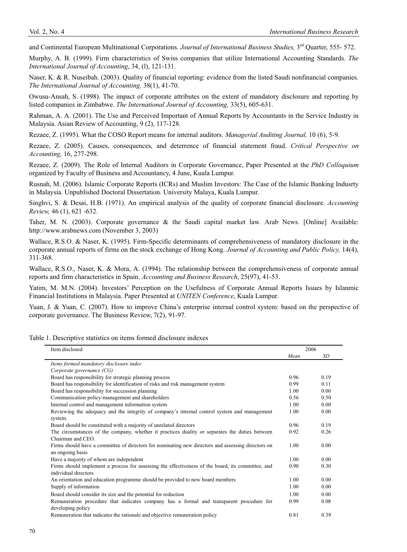and Continental European Multinational Corporations. *Journal of International Business Studies*, 3<sup>rd</sup> Ouarter, 555- 572.

Murphy, A. B. (1999). Firm characteristics of Swiss companies that utilize International Accounting Standards. *The International Journal of Accounting*, 34, (l), 121-131.

Naser, K. & R. Nuseibah. (2003). Quality of financial reporting: evidence from the listed Saudi nonfinancial companies. *The International Journal of Accounting,* 38(1), 41-70.

Owusu-Ansah, S. (1998). The impact of corporate attributes on the extent of mandatory disclosure and reporting by listed companies in Zimbabwe. *The International Journal of Accounting,* 33(5), 605-631.

Rahman, A. A. (2001). The Use and Perceived Important of Annual Reports by Accountants in the Service Industry in Malaysia. Asian Review of Accounting, 9 (2), 117-128.

Rezaee, Z. (1995). What the COSO Report means for internal auditors. *Managerial Auditing Journal,* 10 (6), 5-9.

Rezaee, Z. (2005). Causes, consequences, and deterrence of financial statement fraud. *Critical Perspective on Accounting,* 16, 277-298.

Rezaee, Z. (2009). The Role of Internal Auditors in Corporate Governance, Paper Presented at the *PhD Colloquium* organized by Faculty of Business and Accountancy, 4 June, Kuala Lumpur.

Rusnah, M. (2006). Islamic Corporate Reports (ICRs) and Muslim Investors: The Case of the Islamic Banking Indusrty in Malaysia. Unpublished Doctoral Dissertation. University Malaya, Kuala Lumpur.

Singhvi, S. & Desai, H.B. (1971). An empirical analysis of the quality of corporate financial disclosure. *Accounting Review,* 46 (1), 621 -632.

Taher, M. N. (2003). Corporate governance & the Saudi capital market law. Arab News. [Online] Available: http://www.arabnews.com (November 3, 2003)

Wallace, R.S.O. & Naser, K. (1995). Firm-Specific determinants of comprehensiveness of mandatory disclosure in the corporate annual reports of firms on the stock exchange of Hong Kong. *Journal of Accounting and Public Policy,* 14(4), 311-368.

Wallace, R.S.O., Naser, K. & Mora, A. (1994). The relationship between the comprehensiveness of corporate annual reports and firm characteristics in Spain. *Accounting and Business Research*, 25(97), 41-53.

Yatim, M. M.N. (2004). Investors' Perception on the Usefulness of Corporate Annual Reports Issues by Islanmic Financial Institutions in Malaysia. Paper Presented at *UNITEN Conference*, Kuala Lumpur.

Yuan, J. & Yuan, C. (2007). How to improve China's enterprise internal control system: based on the perspective of corporate governance. The Business Review, 7(2), 91-97.

| Table 1. Descriptive statistics on items formed disclosure indexes |  |  |  |  |  |  |  |
|--------------------------------------------------------------------|--|--|--|--|--|--|--|
|--------------------------------------------------------------------|--|--|--|--|--|--|--|

| Item disclosed                                                                                     | 2006 |      |
|----------------------------------------------------------------------------------------------------|------|------|
|                                                                                                    | Mean | SD   |
| Items formed mandatory disclosure index                                                            |      |      |
| Corporate governance (CG)                                                                          |      |      |
| Board has responsibility for strategic planning process                                            | 0.96 | 0.19 |
| Board has responsibility for identification of risks and risk management system                    | 0.99 | 0.11 |
| Board has responsibility for succession planning                                                   | 1.00 | 0.00 |
| Communication policy-management and shareholders                                                   | 0.56 | 0.50 |
| Internal control and management information system                                                 | 1.00 | 0.00 |
| Reviewing the adequacy and the integrity of company's internal control system and management       | 1.00 | 0.00 |
| system.                                                                                            |      |      |
| Board should be constituted with a majority of unrelated directors                                 | 0.96 | 0.19 |
| The circumstances of the company, whether it practices duality or separates the duties between     | 0.92 | 0.26 |
| Chairman and CEO.                                                                                  |      |      |
| Firms should have a committee of directors for nominating new directors and assessing directors on | 1.00 | 0.00 |
| an ongoing basis                                                                                   |      |      |
| Have a majority of whom are independent                                                            | 1.00 | 0.00 |
| Firms should implement a process for assessing the effectiveness of the board, its committee, and  | 0.90 | 0.30 |
| individual directors                                                                               |      |      |
| An orientation and education programme should be provided to new board members                     | 1.00 | 0.00 |
| Supply of information                                                                              | 1.00 | 0.00 |
| Board should consider its size and the potential for reduction                                     | 1.00 | 0.00 |
| Remuneration procedure that indicates company has a formal and transparent procedure for           | 0.99 | 0.08 |
| developing policy                                                                                  |      |      |
| Remuneration that indicates the rationale and objective remuneration policy                        | 0.81 | 0.39 |
|                                                                                                    |      |      |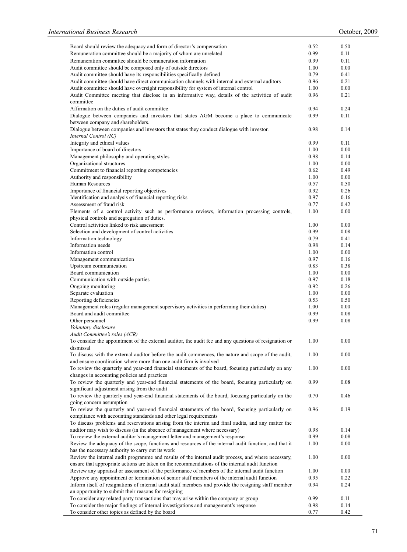| Board should review the adequacy and form of director's compensation                                   | 0.52 | 0.50 |
|--------------------------------------------------------------------------------------------------------|------|------|
| Remuneration committee should be a majority of whom are unrelated                                      | 0.99 | 0.11 |
| Remuneration committee should be remuneration information                                              | 0.99 | 0.11 |
| Audit committee should be composed only of outside directors                                           | 1.00 | 0.00 |
| Audit committee should have its responsibilities specifically defined                                  | 0.79 | 0.41 |
| Audit committee should have direct communication channels with internal and external auditors          | 0.96 | 0.21 |
| Audit committee should have oversight responsibility for system of internal control                    | 1.00 | 0.00 |
| Audit Committee meeting that disclose in an informative way, details of the activities of audit        | 0.96 | 0.21 |
| committee                                                                                              |      |      |
| Affirmation on the duties of audit committee                                                           | 0.94 | 0.24 |
| Dialogue between companies and investors that states AGM become a place to communicate                 | 0.99 | 0.11 |
| between company and shareholders.                                                                      |      |      |
|                                                                                                        | 0.98 | 0.14 |
| Dialogue between companies and investors that states they conduct dialogue with investor.              |      |      |
| Internal Control (IC)                                                                                  |      | 0.11 |
| Integrity and ethical values                                                                           | 0.99 |      |
| Importance of board of directors                                                                       | 1.00 | 0.00 |
| Management philosophy and operating styles                                                             | 0.98 | 0.14 |
| Organizational structures                                                                              | 1.00 | 0.00 |
| Commitment to financial reporting competencies                                                         | 0.62 | 0.49 |
| Authority and responsibility                                                                           | 1.00 | 0.00 |
| Human Resources                                                                                        | 0.57 | 0.50 |
| Importance of financial reporting objectives                                                           | 0.92 | 0.26 |
| Identification and analysis of financial reporting risks                                               | 0.97 | 0.16 |
| Assessment of fraud risk                                                                               | 0.77 | 0.42 |
| Elements of a control activity such as performance reviews, information processing controls,           | 1.00 | 0.00 |
| physical controls and segregation of duties.                                                           |      |      |
| Control activities linked to risk assessment                                                           | 1.00 | 0.00 |
| Selection and development of control activities                                                        | 0.99 | 0.08 |
| Information technology                                                                                 | 0.79 | 0.41 |
| Information needs                                                                                      | 0.98 | 0.14 |
| Information control                                                                                    | 1.00 | 0.00 |
| Management communication                                                                               | 0.97 | 0.16 |
| Upstream communication                                                                                 | 0.83 | 0.38 |
| Board communication                                                                                    | 1.00 | 0.00 |
| Communication with outside parties                                                                     | 0.97 | 0.18 |
| Ongoing monitoring                                                                                     | 0.92 | 0.26 |
| Separate evaluation                                                                                    | 1.00 | 0.00 |
| Reporting deficiencies                                                                                 | 0.53 | 0.50 |
| Management roles (regular management supervisory activities in performing their duties)                | 1.00 | 0.00 |
| Board and audit committee                                                                              | 0.99 | 0.08 |
| Other personnel                                                                                        | 0.99 | 0.08 |
| Voluntary disclosure                                                                                   |      |      |
| Audit Committee's roles (ACR)                                                                          |      |      |
| To consider the appointment of the external auditor, the audit fee and any questions of resignation or | 1.00 | 0.00 |
| dismissal                                                                                              |      |      |
| To discuss with the external auditor before the audit commences, the nature and scope of the audit,    | 1.00 | 0.00 |
| and ensure coordination where more than one audit firm is involved                                     |      |      |
| To review the quarterly and year-end financial statements of the board, focusing particularly on any   | 1.00 | 0.00 |
| changes in accounting policies and practices                                                           |      |      |
| To review the quarterly and year-end financial statements of the board, focusing particularly on       | 0.99 | 0.08 |
| significant adjustment arising from the audit                                                          |      |      |
| To review the quarterly and year-end financial statements of the board, focusing particularly on the   | 0.70 | 0.46 |
| going concern assumption                                                                               |      |      |
|                                                                                                        |      |      |
| To review the quarterly and year-end financial statements of the board, focusing particularly on       | 0.96 | 0.19 |
| compliance with accounting standards and other legal requirements                                      |      |      |
| To discuss problems and reservations arising from the interim and final audits, and any matter the     |      |      |
| auditor may wish to discuss (in the absence of management where necessary)                             | 0.98 | 0.14 |
| To review the external auditor's management letter and management's response                           | 0.99 | 0.08 |
| Review the adequacy of the scope, functions and resources of the internal audit function, and that it  | 1.00 | 0.00 |
| has the necessary authority to carry out its work                                                      |      |      |
| Review the internal audit programme and results of the internal audit process, and where necessary,    | 1.00 | 0.00 |
| ensure that appropriate actions are taken on the recommendations of the internal audit function        |      |      |
| Review any appraisal or assessment of the performance of members of the internal audit function        | 1.00 | 0.00 |
| Approve any appointment or termination of senior staff members of the internal audit function          | 0.95 | 0.22 |
| Inform itself of resignations of internal audit staff members and provide the resigning staff member   | 0.94 | 0.24 |
| an opportunity to submit their reasons for resigning                                                   |      |      |
| To consider any related party transactions that may arise within the company or group                  | 0.99 | 0.11 |
| To consider the major findings of internal investigations and management's response                    | 0.98 | 0.14 |
| To consider other topics as defined by the board                                                       | 0.77 | 0.42 |